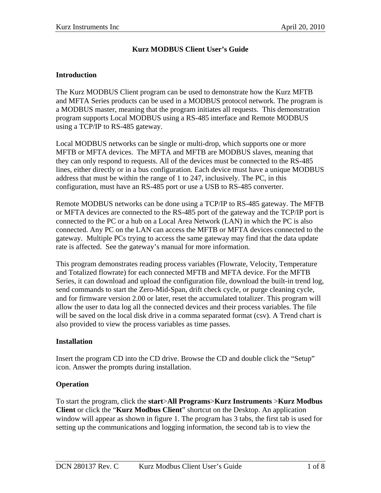# **Kurz MODBUS Client User's Guide**

#### **Introduction**

The Kurz MODBUS Client program can be used to demonstrate how the Kurz MFTB and MFTA Series products can be used in a MODBUS protocol network. The program is a MODBUS master, meaning that the program initiates all requests. This demonstration program supports Local MODBUS using a RS-485 interface and Remote MODBUS using a TCP/IP to RS-485 gateway.

Local MODBUS networks can be single or multi-drop, which supports one or more MFTB or MFTA devices. The MFTA and MFTB are MODBUS slaves, meaning that they can only respond to requests. All of the devices must be connected to the RS-485 lines, either directly or in a bus configuration. Each device must have a unique MODBUS address that must be within the range of 1 to 247, inclusively. The PC, in this configuration, must have an RS-485 port or use a USB to RS-485 converter.

Remote MODBUS networks can be done using a TCP/IP to RS-485 gateway. The MFTB or MFTA devices are connected to the RS-485 port of the gateway and the TCP/IP port is connected to the PC or a hub on a Local Area Network (LAN) in which the PC is also connected. Any PC on the LAN can access the MFTB or MFTA devices connected to the gateway. Multiple PCs trying to access the same gateway may find that the data update rate is affected. See the gateway's manual for more information.

This program demonstrates reading process variables (Flowrate, Velocity, Temperature and Totalized flowrate) for each connected MFTB and MFTA device. For the MFTB Series, it can download and upload the configuration file, download the built-in trend log, send commands to start the Zero-Mid-Span, drift check cycle, or purge cleaning cycle, and for firmware version 2.00 or later, reset the accumulated totalizer. This program will allow the user to data log all the connected devices and their process variables. The file will be saved on the local disk drive in a comma separated format (csv). A Trend chart is also provided to view the process variables as time passes.

### **Installation**

Insert the program CD into the CD drive. Browse the CD and double click the "Setup" icon. Answer the prompts during installation.

### **Operation**

To start the program, click the **start**>**All Programs**>**Kurz Instruments** >**Kurz Modbus Client** or click the "**Kurz Modbus Client**" shortcut on the Desktop. An application window will appear as shown in figure 1. The program has 3 tabs, the first tab is used for setting up the communications and logging information, the second tab is to view the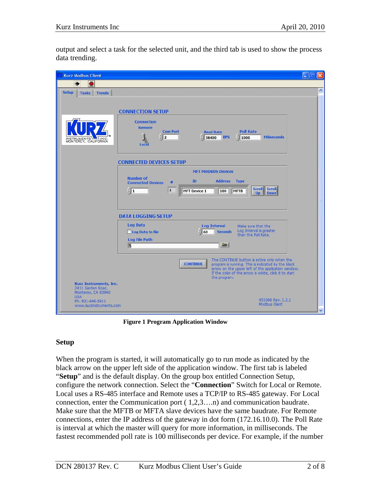output and select a task for the selected unit, and the third tab is used to show the process data trending.



**Figure 1 Program Application Window** 

# **Setup**

When the program is started, it will automatically go to run mode as indicated by the black arrow on the upper left side of the application window. The first tab is labeled "**Setup**" and is the default display. On the group box entitled Connection Setup, configure the network connection. Select the "**Connection**" Switch for Local or Remote. Local uses a RS-485 interface and Remote uses a TCP/IP to RS-485 gateway. For Local connection, enter the Communication port ( 1,2,3….n) and communication baudrate. Make sure that the MFTB or MFTA slave devices have the same baudrate. For Remote connections, enter the IP address of the gateway in dot form (172.16.10.0). The Poll Rate is interval at which the master will query for more information, in milliseconds. The fastest recommended poll rate is 100 milliseconds per device. For example, if the number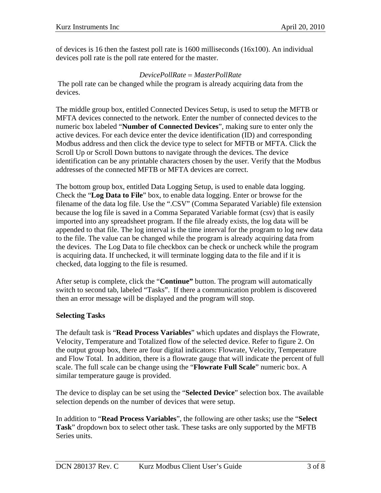of devices is 16 then the fastest poll rate is 1600 milliseconds (16x100). An individual devices poll rate is the poll rate entered for the master.

### *DevicePollRate* = *MasterPollRate*

 The poll rate can be changed while the program is already acquiring data from the devices.

The middle group box, entitled Connected Devices Setup, is used to setup the MFTB or MFTA devices connected to the network. Enter the number of connected devices to the numeric box labeled "**Number of Connected Devices**", making sure to enter only the active devices. For each device enter the device identification (ID) and corresponding Modbus address and then click the device type to select for MFTB or MFTA. Click the Scroll Up or Scroll Down buttons to navigate through the devices. The device identification can be any printable characters chosen by the user. Verify that the Modbus addresses of the connected MFTB or MFTA devices are correct.

The bottom group box, entitled Data Logging Setup, is used to enable data logging. Check the "**Log Data to File**" box, to enable data logging. Enter or browse for the filename of the data log file. Use the ".CSV" (Comma Separated Variable) file extension because the log file is saved in a Comma Separated Variable format (csv) that is easily imported into any spreadsheet program. If the file already exists, the log data will be appended to that file. The log interval is the time interval for the program to log new data to the file. The value can be changed while the program is already acquiring data from the devices. The Log Data to file checkbox can be check or uncheck while the program is acquiring data. If unchecked, it will terminate logging data to the file and if it is checked, data logging to the file is resumed.

After setup is complete, click the "**Continue"** button. The program will automatically switch to second tab, labeled "Tasks". If there a communication problem is discovered then an error message will be displayed and the program will stop.

# **Selecting Tasks**

The default task is "**Read Process Variables**" which updates and displays the Flowrate, Velocity, Temperature and Totalized flow of the selected device. Refer to figure 2. On the output group box, there are four digital indicators: Flowrate, Velocity, Temperature and Flow Total. In addition, there is a flowrate gauge that will indicate the percent of full scale. The full scale can be change using the "**Flowrate Full Scale**" numeric box. A similar temperature gauge is provided.

The device to display can be set using the "**Selected Device**" selection box. The available selection depends on the number of devices that were setup.

In addition to "**Read Process Variables**", the following are other tasks; use the "**Select Task**" dropdown box to select other task. These tasks are only supported by the MFTB Series units.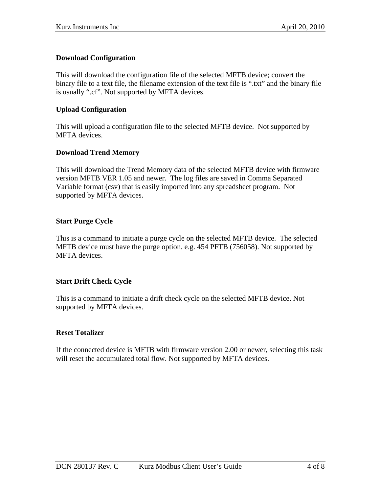## **Download Configuration**

This will download the configuration file of the selected MFTB device; convert the binary file to a text file, the filename extension of the text file is ".txt" and the binary file is usually ".cf". Not supported by MFTA devices.

### **Upload Configuration**

This will upload a configuration file to the selected MFTB device. Not supported by MFTA devices.

## **Download Trend Memory**

This will download the Trend Memory data of the selected MFTB device with firmware version MFTB VER 1.05 and newer. The log files are saved in Comma Separated Variable format (csv) that is easily imported into any spreadsheet program. Not supported by MFTA devices.

## **Start Purge Cycle**

This is a command to initiate a purge cycle on the selected MFTB device. The selected MFTB device must have the purge option. e.g. 454 PFTB (756058). Not supported by MFTA devices.

### **Start Drift Check Cycle**

This is a command to initiate a drift check cycle on the selected MFTB device. Not supported by MFTA devices.

### **Reset Totalizer**

If the connected device is MFTB with firmware version 2.00 or newer, selecting this task will reset the accumulated total flow. Not supported by MFTA devices.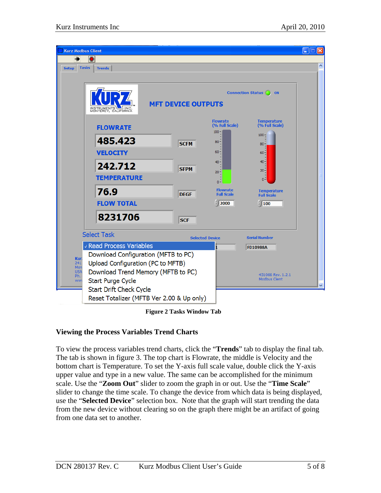

**Figure 2 Tasks Window Tab** 

# **Viewing the Process Variables Trend Charts**

To view the process variables trend charts, click the "**Trends**" tab to display the final tab. The tab is shown in figure 3. The top chart is Flowrate, the middle is Velocity and the bottom chart is Temperature. To set the Y-axis full scale value, double click the Y-axis upper value and type in a new value. The same can be accomplished for the minimum scale. Use the "**Zoom Out**" slider to zoom the graph in or out. Use the "**Time Scale**" slider to change the time scale. To change the device from which data is being displayed, use the "**Selected Device**" selection box. Note that the graph will start trending the data from the new device without clearing so on the graph there might be an artifact of going from one data set to another.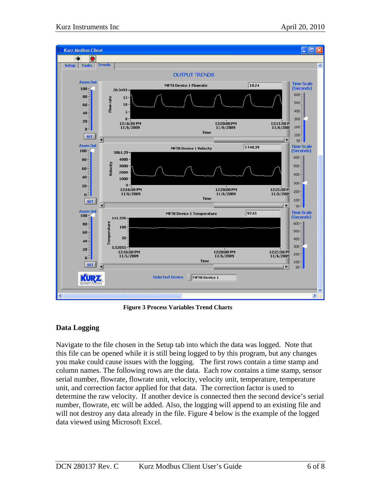

**Figure 3 Process Variables Trend Charts** 

# **Data Logging**

Navigate to the file chosen in the Setup tab into which the data was logged. Note that this file can be opened while it is still being logged to by this program, but any changes you make could cause issues with the logging. The first rows contain a time stamp and column names. The following rows are the data. Each row contains a time stamp, sensor serial number, flowrate, flowrate unit, velocity, velocity unit, temperature, temperature unit, and correction factor applied for that data. The correction factor is used to determine the raw velocity. If another device is connected then the second device's serial number, flowrate, etc will be added. Also, the logging will append to an existing file and will not destroy any data already in the file. Figure 4 below is the example of the logged data viewed using Microsoft Excel.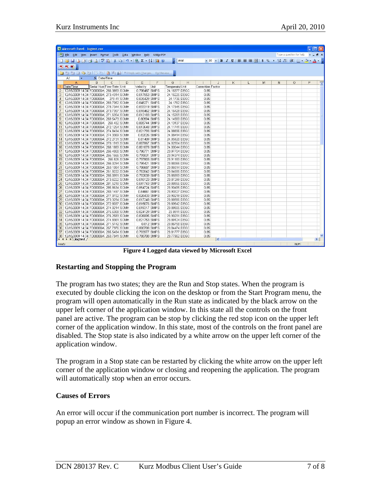|                | Microsoft Excel - logtest.csv                                                      |                           |              |              |                                |            |                                |   |                                  |                     |               |      |   |   |                          |   | $\Box x$                 |
|----------------|------------------------------------------------------------------------------------|---------------------------|--------------|--------------|--------------------------------|------------|--------------------------------|---|----------------------------------|---------------------|---------------|------|---|---|--------------------------|---|--------------------------|
|                | File Edit View Insert Format Tools Data Window Help Adobe PDF                      |                           |              |              |                                |            |                                |   |                                  |                     |               |      |   |   | Type a question for help |   | $-B \times$              |
|                | : 1 B H B A B Q V B I X & 1 9 - 1 & 2 - 2 1 H O                                    |                           |              |              |                                |            | $2:$ Arial                     |   |                                  |                     |               |      |   |   |                          |   |                          |
|                |                                                                                    |                           |              |              |                                |            |                                |   |                                  |                     |               |      |   |   |                          |   |                          |
|                | 九九名。                                                                               |                           |              |              |                                |            |                                |   |                                  |                     |               |      |   |   |                          |   |                          |
|                |                                                                                    |                           |              |              |                                |            |                                |   |                                  |                     |               |      |   |   |                          |   |                          |
|                | A1<br>٠                                                                            | fx Date/Time              |              |              |                                |            |                                |   |                                  |                     |               |      |   |   |                          |   |                          |
|                | $\mathsf{A}$                                                                       | B                         | $\mathbb{C}$ | $\mathsf{D}$ | E                              |            | G                              | H |                                  | $\mathbf{I}$        | K             |      | M | N | $\Omega$                 | P | $\overline{\phantom{a}}$ |
|                | Date/Time<br>12/15/2009 14:34 FD00000A 266.3859 SCMH                               | Serial Num Flow Rate Unit |              |              | Velocity Unit                  |            | Temperatu Unit                 |   | Correction Factor<br>0.85        |                     |               |      |   |   |                          |   |                          |
| 3              | 12/15/2009 14:34 FD00000A 273.4314 SCMH                                            |                           |              |              | 0.796487 SMPS<br>0.817553 SMPS |            | 24.16377 DEGC<br>24.16225 DEGC |   | 0.85                             |                     |               |      |   |   |                          |   |                          |
| $\overline{4}$ | 12/15/2009 14:34 FD00000A 279.41 SCMH                                              |                           |              |              | 0.835429 SMPS                  |            | 24.1736 DEGC                   |   | 0.85                             |                     |               |      |   |   |                          |   |                          |
| 5              | 12/15/2009 14:34 FD00000A 283.7052 SCMH                                            |                           |              |              | 0.848271 SMPS                  |            | 24.1762 DEGC                   |   | 0.85                             |                     |               |      |   |   |                          |   |                          |
| 6              | 12/15/2009 14:34 FD00000A 278.7044 SCMH                                            |                           |              |              | 0.833319 SMPS                  |            | 24.17945 DEGC                  |   | 0.85                             |                     |               |      |   |   |                          |   |                          |
| $\overline{7}$ | 12/15/2009 14:34 FD00000A 273.7357 SCMH                                            |                           |              |              | 0.818462 SMPS                  |            | 24.16429 DEGC                  |   | 0.85                             |                     |               |      |   |   |                          |   |                          |
| 8              | 12/15/2009 14:34 FD00000A 271.6354 SCMH                                            |                           |              |              | 0.812183 SMPS                  |            | 24.15269 DEGC                  |   | 0.85                             |                     |               |      |   |   |                          |   |                          |
| 9              | 12/15/2009 14:34 FD00000A 269.5473 SCMH                                            |                           |              |              | 0.80594 SMPS                   |            | 24.14569 DEGC                  |   | 0.85                             |                     |               |      |   |   |                          |   |                          |
| 10             | 12/15/2009 14:34 FD00000A 269.482 SCMH                                             |                           |              |              | 0.805744 SMPS                  |            | 24.13137 DEGC                  |   | 0.85                             |                     |               |      |   |   |                          |   |                          |
| 11             | 12/15/2009 14:34 FD00000A 272.1254 SCMH                                            |                           |              |              | 0.813648 SMPS                  |            | 24.11741 DEGC                  |   | 0.85                             |                     |               |      |   |   |                          |   |                          |
| 12             | 12/15/2009 14:34 FD00000A 274.8494 SCMH                                            |                           |              |              | 0.821793 SMPS                  |            | 24.08896 DEGC                  |   | 0.85                             |                     |               |      |   |   |                          |   |                          |
| 13             | 12/15/2009 14:34 FD00000A 274.3369 SCMH                                            |                           |              |              | 0.82026 SMPS                   |            | 24.08414 DEGC                  |   | 0.85                             |                     |               |      |   |   |                          |   |                          |
| 14             | 12/15/2009 14:34 FD00000A 272.2731 SCMH                                            |                           |              |              | 0.81409 SMPS                   |            | 24.05928 DEGC                  |   | 0.85                             |                     |               |      |   |   |                          |   |                          |
| 15             | 12/15/2009 14:34 FD00000A 270.1919 SCMH                                            |                           |              |              | 0.807867 SMPS                  |            | 24.02904 DEGC                  |   | 0.85                             |                     |               |      |   |   |                          |   |                          |
| 16             | 12/15/2009 14:34 FD00000A 268.1889 SCMH                                            |                           |              |              | 0.801878 SMPS                  |            | 24.00044 DEGC                  |   | 0.85                             |                     |               |      |   |   |                          |   |                          |
| 17             | 12/15/2009 14:34 FD00000A 266.4808 SCMH                                            |                           |              |              | 0.796771 SMPS                  |            | 23.97704 DEGC                  |   | 0.85                             |                     |               |      |   |   |                          |   |                          |
| 18             | 12/15/2009 14:34 FD00000A 266.1666 SCMH                                            |                           |              |              | 0.795831 SMPS                  |            | 23.94374 DEGC                  |   | 0.85                             |                     |               |      |   |   |                          |   |                          |
| 19             | 12/15/2009 14:34 FD00000A 266.826 SCMH                                             |                           |              |              | 0.797803 SMPS                  |            | 23.91183 DEGC                  |   | 0.85                             |                     |               |      |   |   |                          |   |                          |
| 20             | 12/15/2009 14:34 FD00000A 266.0294 SCMH<br>12/15/2009 14:34 FD00000A 263.1084 SCMH |                           |              |              | 0.795421 SMPS<br>0.786687 SMPS |            | 23.88366 DEGC                  |   | 0.85<br>0.85                     |                     |               |      |   |   |                          |   |                          |
| 21<br>22       | 12/15/2009 14:34 FD00000A 261.8222 SCMH                                            |                           |              |              | 0.782842 SMPS                  |            | 23.86514 DEGC<br>23.84686 DEGC |   | 0.85                             |                     |               |      |   |   |                          |   |                          |
| 23             | 12/15/2009 14:34 FD00000A 265.0991 SCMH                                            |                           |              |              | 0.792639 SMPS                  |            | 23.85559 DEGC                  |   | 0.85                             |                     |               |      |   |   |                          |   |                          |
| 24             | 12/15/2009 14:34 FD00000A 273.6222 SCMH                                            |                           |              |              | 0.818123 SMPS                  |            | 23.87299 DEGC                  |   | 0.85                             |                     |               |      |   |   |                          |   |                          |
| 25             | 12/15/2009 14:34 FD00000A 281.5218 SCMH                                            |                           |              |              | 0.841743 SMPS                  |            | 23.88956 DEGC                  |   | 0.85                             |                     |               |      |   |   |                          |   |                          |
| 26             | 12/15/2009 14:34 FD00000A 285.8634 SCMH                                            |                           |              |              | 0.854724 SMPS                  |            | 23.90495 DEGC                  |   | 0.85                             |                     |               |      |   |   |                          |   |                          |
| 27             | 12/15/2009 14:34 FD00000A 283.1497 SCMH                                            |                           |              |              | 0.84661 SMPS                   |            | 23.90327 DEGC                  |   | 0.85                             |                     |               |      |   |   |                          |   |                          |
| 28             | 12/15/2009 14:34 FD00000A 277.0702 SCMH                                            |                           |              |              | 0.828433 SMPS                  |            | 23.90219 DEGC                  |   | 0.85                             |                     |               |      |   |   |                          |   |                          |
| 29             | 12/15/2009 14:34 FD00000A 273.3294 SCMH                                            |                           |              |              | 0.817248 SMPS                  |            | 23.88986 DEGC                  |   | 0.85                             |                     |               |      |   |   |                          |   |                          |
| 30             | 12/15/2009 14:34 FD00000A 272.8037 SCMH                                            |                           |              |              | 0.815676 SMPS                  |            | 23.89542 DEGC                  |   | 0.85                             |                     |               |      |   |   |                          |   |                          |
| 31             | 12/15/2009 14:34 FD00000A 274.0214 SCMH                                            |                           |              |              | 0.819317 SMPS                  |            | 23.89805 DEGC                  |   | 0.85                             |                     |               |      |   |   |                          |   |                          |
| 32             | 12/15/2009 14:34 FD00000A 275.6308 SCMH                                            |                           |              |              | 0.824129 SMPS                  |            | 23.8911 DEGC                   |   | 0.85                             |                     |               |      |   |   |                          |   |                          |
| 33             | 12/15/2009 14:34 FD00000A 276.2583 SCMH                                            |                           |              |              | 0.826005 SMPS                  |            | 23.90291 DEGC                  |   | 0.85                             |                     |               |      |   |   |                          |   |                          |
| 34             | 12/15/2009 14:34 FD00000A 274.8361 SCMH                                            |                           |              |              | 0.821753 SMPS                  |            | 23.89124 DEGC                  |   | 0.85                             |                     |               |      |   |   |                          |   |                          |
| 35             | 12/15/2009 14:34 FD00000A 271.5742 SCMH                                            |                           |              |              |                                | 0.812 SMPS | 23.86758 DEGC                  |   | 0.85                             |                     |               |      |   |   |                          |   |                          |
| 36             | 12/15/2009 14:34 FD00000A 267.7976 SCMH                                            |                           |              |              | 0.800708 SMPS                  |            | 23.84474 DEGC                  |   | 0.85                             |                     |               |      |   |   |                          |   |                          |
| 37             | 12/15/2009 14:34 FD00000A 265.5464 SCMH                                            |                           |              |              | 0.793977 SMPS                  |            | 23.81777 DEGC                  |   | 0.85                             |                     |               |      |   |   |                          |   |                          |
|                | 38 12/15/2009 14:34 FD00000A 263.7841 SCMH<br>$H \rightarrow H \longrightarrow H$  |                           |              |              | 0.788708 SMPS                  |            | 23.77962 DEGC                  |   | 0.85                             | $\vert \cdot \vert$ |               |      |   |   |                          |   | $\checkmark$<br>$\vert$  |
|                |                                                                                    |                           |              |              |                                |            |                                |   |                                  |                     |               |      |   |   |                          |   |                          |
| Ready          |                                                                                    |                           |              | T.P          | $AT =$                         |            | $-11 - 1 - 4 - -$              |   | $\cdots$ 1 L $\cdots$ M $\Gamma$ |                     | <b>PA TO-</b> | $-1$ |   |   | <b>NUM</b>               |   |                          |

 **Figure 4 Logged data viewed by Microsoft Excel** 

### **Restarting and Stopping the Program**

The program has two states; they are the Run and Stop states. When the program is executed by double clicking the icon on the desktop or from the Start Program menu, the program will open automatically in the Run state as indicated by the black arrow on the upper left corner of the application window. In this state all the controls on the front panel are active. The program can be stop by clicking the red stop icon on the upper left corner of the application window. In this state, most of the controls on the front panel are disabled. The Stop state is also indicated by a white arrow on the upper left corner of the application window.

The program in a Stop state can be restarted by clicking the white arrow on the upper left corner of the application window or closing and reopening the application. The program will automatically stop when an error occurs.

### **Causes of Errors**

An error will occur if the communication port number is incorrect. The program will popup an error window as shown in Figure 4.